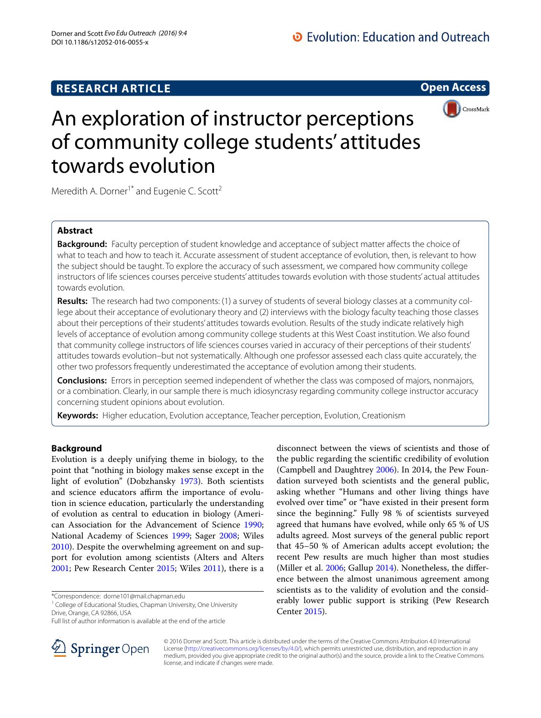# **RESEARCH ARTICLE**

**Open Access**



# An exploration of instructor perceptions of community college students' attitudes towards evolution

Meredith A. Dorner<sup>1\*</sup> and Eugenie C. Scott<sup>2</sup>

# **Abstract**

**Background:** Faculty perception of student knowledge and acceptance of subject matter affects the choice of what to teach and how to teach it. Accurate assessment of student acceptance of evolution, then, is relevant to how the subject should be taught. To explore the accuracy of such assessment, we compared how community college instructors of life sciences courses perceive students' attitudes towards evolution with those students' actual attitudes towards evolution.

**Results:** The research had two components: (1) a survey of students of several biology classes at a community col‑ lege about their acceptance of evolutionary theory and (2) interviews with the biology faculty teaching those classes about their perceptions of their students' attitudes towards evolution. Results of the study indicate relatively high levels of acceptance of evolution among community college students at this West Coast institution. We also found that community college instructors of life sciences courses varied in accuracy of their perceptions of their students' attitudes towards evolution–but not systematically. Although one professor assessed each class quite accurately, the other two professors frequently underestimated the acceptance of evolution among their students.

**Conclusions:** Errors in perception seemed independent of whether the class was composed of majors, nonmajors, or a combination. Clearly, in our sample there is much idiosyncrasy regarding community college instructor accuracy concerning student opinions about evolution.

**Keywords:** Higher education, Evolution acceptance, Teacher perception, Evolution, Creationism

# **Background**

Evolution is a deeply unifying theme in biology, to the point that "nothing in biology makes sense except in the light of evolution" (Dobzhansky [1973\)](#page-8-0). Both scientists and science educators affirm the importance of evolution in science education, particularly the understanding of evolution as central to education in biology (American Association for the Advancement of Science [1990](#page-8-1); National Academy of Sciences [1999;](#page-9-0) Sager [2008](#page-9-1); Wiles [2010](#page-9-2)). Despite the overwhelming agreement on and support for evolution among scientists (Alters and Alters [2001](#page-8-2); Pew Research Center [2015](#page-9-3); Wiles [2011\)](#page-9-4), there is a

\*Correspondence: dorne101@mail.chapman.edu

<sup>1</sup> College of Educational Studies, Chapman University, One University Drive, Orange, CA 92866, USA

Full list of author information is available at the end of the article



disconnect between the views of scientists and those of the public regarding the scientific credibility of evolution (Campbell and Daughtrey [2006\)](#page-8-3). In 2014, the Pew Foundation surveyed both scientists and the general public, asking whether "Humans and other living things have evolved over time" or "have existed in their present form since the beginning." Fully 98 % of scientists surveyed agreed that humans have evolved, while only 65 % of US adults agreed. Most surveys of the general public report that 45–50 % of American adults accept evolution; the recent Pew results are much higher than most studies (Miller et al. [2006](#page-9-5); Gallup [2014\)](#page-9-6). Nonetheless, the difference between the almost unanimous agreement among scientists as to the validity of evolution and the considerably lower public support is striking (Pew Research Center [2015\)](#page-9-7).

© 2016 Dorner and Scott. This article is distributed under the terms of the Creative Commons Attribution 4.0 International License (<http://creativecommons.org/licenses/by/4.0/>), which permits unrestricted use, distribution, and reproduction in any medium, provided you give appropriate credit to the original author(s) and the source, provide a link to the Creative Commons license, and indicate if changes were made.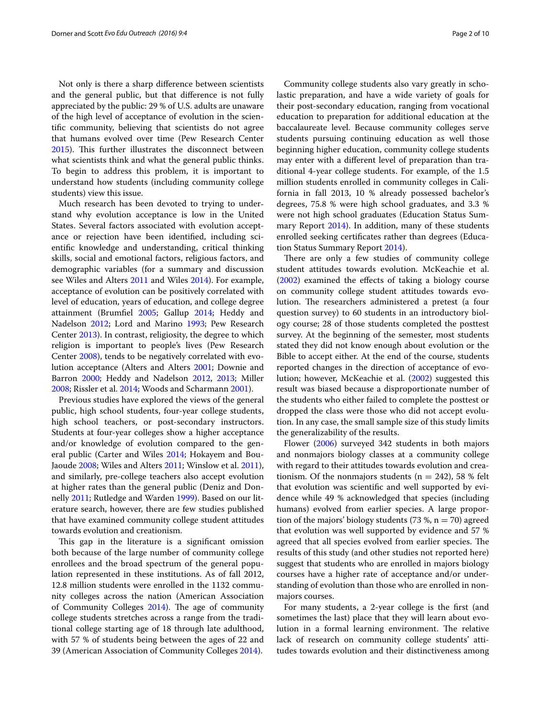Not only is there a sharp difference between scientists and the general public, but that difference is not fully appreciated by the public: 29 % of U.S. adults are unaware of the high level of acceptance of evolution in the scientific community, believing that scientists do not agree that humans evolved over time (Pew Research Center [2015](#page-9-7)). This further illustrates the disconnect between what scientists think and what the general public thinks. To begin to address this problem, it is important to understand how students (including community college students) view this issue.

Much research has been devoted to trying to understand why evolution acceptance is low in the United States. Several factors associated with evolution acceptance or rejection have been identified, including scientific knowledge and understanding, critical thinking skills, social and emotional factors, religious factors, and demographic variables (for a summary and discussion see Wiles and Alters [2011](#page-9-8) and Wiles [2014\)](#page-9-9). For example, acceptance of evolution can be positively correlated with level of education, years of education, and college degree attainment (Brumfiel [2005](#page-8-4); Gallup [2014;](#page-9-6) Heddy and Nadelson [2012;](#page-9-10) Lord and Marino [1993](#page-9-11); Pew Research Center [2013\)](#page-9-12). In contrast, religiosity, the degree to which religion is important to people's lives (Pew Research Center [2008](#page-9-13)), tends to be negatively correlated with evolution acceptance (Alters and Alters [2001](#page-8-2); Downie and Barron [2000;](#page-8-5) Heddy and Nadelson [2012,](#page-9-10) [2013](#page-9-14); Miller [2008](#page-9-15); Rissler et al. [2014;](#page-9-16) Woods and Scharmann [2001\)](#page-9-17).

Previous studies have explored the views of the general public, high school students, four-year college students, high school teachers, or post-secondary instructors. Students at four-year colleges show a higher acceptance and/or knowledge of evolution compared to the general public (Carter and Wiles [2014](#page-8-6); Hokayem and Bou-Jaoude [2008](#page-9-18); Wiles and Alters [2011;](#page-9-8) Winslow et al. [2011](#page-9-19)), and similarly, pre-college teachers also accept evolution at higher rates than the general public (Deniz and Donnelly [2011](#page-8-7); Rutledge and Warden [1999](#page-9-20)). Based on our literature search, however, there are few studies published that have examined community college student attitudes towards evolution and creationism.

This gap in the literature is a significant omission both because of the large number of community college enrollees and the broad spectrum of the general population represented in these institutions. As of fall 2012, 12.8 million students were enrolled in the 1132 community colleges across the nation (American Association of Community Colleges [2014](#page-8-8)). The age of community college students stretches across a range from the traditional college starting age of 18 through late adulthood, with 57 % of students being between the ages of 22 and 39 (American Association of Community Colleges [2014\)](#page-8-8).

Community college students also vary greatly in scholastic preparation, and have a wide variety of goals for their post-secondary education, ranging from vocational education to preparation for additional education at the baccalaureate level. Because community colleges serve students pursuing continuing education as well those beginning higher education, community college students may enter with a different level of preparation than traditional 4-year college students. For example, of the 1.5 million students enrolled in community colleges in California in fall 2013, 10 % already possessed bachelor's degrees, 75.8 % were high school graduates, and 3.3 % were not high school graduates (Education Status Summary Report [2014\)](#page-8-9). In addition, many of these students enrolled seeking certificates rather than degrees (Education Status Summary Report [2014](#page-8-9)).

There are only a few studies of community college student attitudes towards evolution. McKeachie et al. ([2002\)](#page-9-3) examined the effects of taking a biology course on community college student attitudes towards evolution. The researchers administered a pretest (a four question survey) to 60 students in an introductory biology course; 28 of those students completed the posttest survey. At the beginning of the semester, most students stated they did not know enough about evolution or the Bible to accept either. At the end of the course, students reported changes in the direction of acceptance of evolution; however, McKeachie et al. [\(2002\)](#page-9-3) suggested this result was biased because a disproportionate number of the students who either failed to complete the posttest or dropped the class were those who did not accept evolution. In any case, the small sample size of this study limits the generalizability of the results.

Flower [\(2006](#page-8-10)) surveyed 342 students in both majors and nonmajors biology classes at a community college with regard to their attitudes towards evolution and creationism. Of the nonmajors students ( $n = 242$ ), 58 % felt that evolution was scientific and well supported by evidence while 49 % acknowledged that species (including humans) evolved from earlier species. A large proportion of the majors' biology students (73 %,  $n = 70$ ) agreed that evolution was well supported by evidence and 57 % agreed that all species evolved from earlier species. The results of this study (and other studies not reported here) suggest that students who are enrolled in majors biology courses have a higher rate of acceptance and/or understanding of evolution than those who are enrolled in nonmajors courses.

For many students, a 2-year college is the first (and sometimes the last) place that they will learn about evolution in a formal learning environment. The relative lack of research on community college students' attitudes towards evolution and their distinctiveness among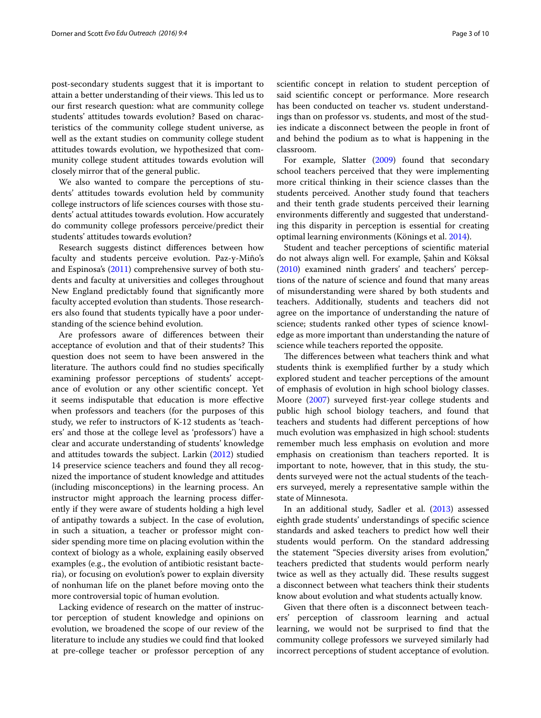post-secondary students suggest that it is important to attain a better understanding of their views. This led us to our first research question: what are community college students' attitudes towards evolution? Based on characteristics of the community college student universe, as well as the extant studies on community college student attitudes towards evolution, we hypothesized that community college student attitudes towards evolution will closely mirror that of the general public.

We also wanted to compare the perceptions of students' attitudes towards evolution held by community college instructors of life sciences courses with those students' actual attitudes towards evolution. How accurately do community college professors perceive/predict their students' attitudes towards evolution?

Research suggests distinct differences between how faculty and students perceive evolution. Paz-y-Miño's and Espinosa's ([2011\)](#page-9-21) comprehensive survey of both students and faculty at universities and colleges throughout New England predictably found that significantly more faculty accepted evolution than students. Those researchers also found that students typically have a poor understanding of the science behind evolution.

Are professors aware of differences between their acceptance of evolution and that of their students? This question does not seem to have been answered in the literature. The authors could find no studies specifically examining professor perceptions of students' acceptance of evolution or any other scientific concept. Yet it seems indisputable that education is more effective when professors and teachers (for the purposes of this study, we refer to instructors of K-12 students as 'teachers' and those at the college level as 'professors') have a clear and accurate understanding of students' knowledge and attitudes towards the subject. Larkin [\(2012](#page-9-22)) studied 14 preservice science teachers and found they all recognized the importance of student knowledge and attitudes (including misconceptions) in the learning process. An instructor might approach the learning process differently if they were aware of students holding a high level of antipathy towards a subject. In the case of evolution, in such a situation, a teacher or professor might consider spending more time on placing evolution within the context of biology as a whole, explaining easily observed examples (e.g., the evolution of antibiotic resistant bacteria), or focusing on evolution's power to explain diversity of nonhuman life on the planet before moving onto the more controversial topic of human evolution.

Lacking evidence of research on the matter of instructor perception of student knowledge and opinions on evolution, we broadened the scope of our review of the literature to include any studies we could find that looked at pre-college teacher or professor perception of any scientific concept in relation to student perception of said scientific concept or performance. More research has been conducted on teacher vs. student understandings than on professor vs. students, and most of the studies indicate a disconnect between the people in front of and behind the podium as to what is happening in the classroom.

For example, Slatter [\(2009\)](#page-9-23) found that secondary school teachers perceived that they were implementing more critical thinking in their science classes than the students perceived. Another study found that teachers and their tenth grade students perceived their learning environments differently and suggested that understanding this disparity in perception is essential for creating optimal learning environments (Könings et al. [2014](#page-9-24)).

Student and teacher perceptions of scientific material do not always align well. For example, Şahin and Köksal ([2010\)](#page-9-25) examined ninth graders' and teachers' perceptions of the nature of science and found that many areas of misunderstanding were shared by both students and teachers. Additionally, students and teachers did not agree on the importance of understanding the nature of science; students ranked other types of science knowledge as more important than understanding the nature of science while teachers reported the opposite.

The differences between what teachers think and what students think is exemplified further by a study which explored student and teacher perceptions of the amount of emphasis of evolution in high school biology classes. Moore [\(2007\)](#page-9-26) surveyed first-year college students and public high school biology teachers, and found that teachers and students had different perceptions of how much evolution was emphasized in high school: students remember much less emphasis on evolution and more emphasis on creationism than teachers reported. It is important to note, however, that in this study, the students surveyed were not the actual students of the teachers surveyed, merely a representative sample within the state of Minnesota.

In an additional study, Sadler et al. ([2013](#page-9-27)) assessed eighth grade students' understandings of specific science standards and asked teachers to predict how well their students would perform. On the standard addressing the statement "Species diversity arises from evolution," teachers predicted that students would perform nearly twice as well as they actually did. These results suggest a disconnect between what teachers think their students know about evolution and what students actually know.

Given that there often is a disconnect between teachers' perception of classroom learning and actual learning, we would not be surprised to find that the community college professors we surveyed similarly had incorrect perceptions of student acceptance of evolution.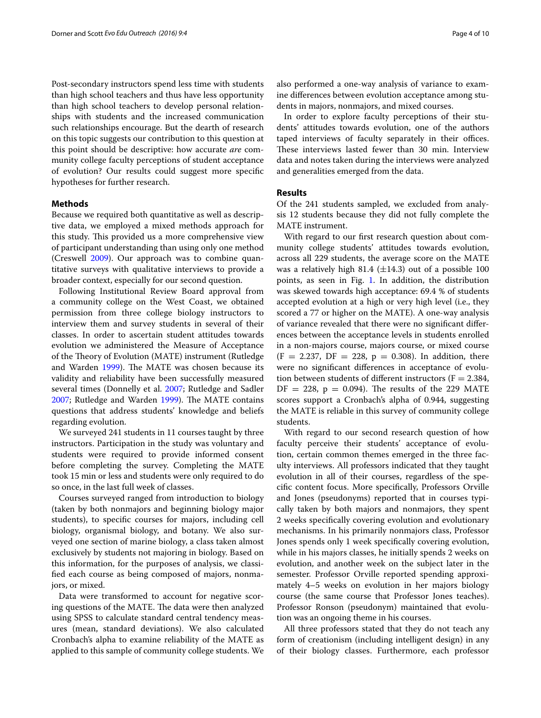Post-secondary instructors spend less time with students than high school teachers and thus have less opportunity than high school teachers to develop personal relationships with students and the increased communication such relationships encourage. But the dearth of research on this topic suggests our contribution to this question at this point should be descriptive: how accurate *are* community college faculty perceptions of student acceptance of evolution? Our results could suggest more specific hypotheses for further research.

# **Methods**

Because we required both quantitative as well as descriptive data, we employed a mixed methods approach for this study. This provided us a more comprehensive view of participant understanding than using only one method (Creswell [2009](#page-8-11)). Our approach was to combine quantitative surveys with qualitative interviews to provide a broader context, especially for our second question.

Following Institutional Review Board approval from a community college on the West Coast, we obtained permission from three college biology instructors to interview them and survey students in several of their classes. In order to ascertain student attitudes towards evolution we administered the Measure of Acceptance of the Theory of Evolution (MATE) instrument (Rutledge and Warden [1999](#page-9-20)). The MATE was chosen because its validity and reliability have been successfully measured several times (Donnelly et al. [2007](#page-8-12); Rutledge and Sadler [2007](#page-9-28); Rutledge and Warden [1999\)](#page-9-20). The MATE contains questions that address students' knowledge and beliefs regarding evolution.

We surveyed 241 students in 11 courses taught by three instructors. Participation in the study was voluntary and students were required to provide informed consent before completing the survey. Completing the MATE took 15 min or less and students were only required to do so once, in the last full week of classes.

Courses surveyed ranged from introduction to biology (taken by both nonmajors and beginning biology major students), to specific courses for majors, including cell biology, organismal biology, and botany. We also surveyed one section of marine biology, a class taken almost exclusively by students not majoring in biology. Based on this information, for the purposes of analysis, we classified each course as being composed of majors, nonmajors, or mixed.

Data were transformed to account for negative scoring questions of the MATE. The data were then analyzed using SPSS to calculate standard central tendency measures (mean, standard deviations). We also calculated Cronbach's alpha to examine reliability of the MATE as applied to this sample of community college students. We also performed a one-way analysis of variance to examine differences between evolution acceptance among students in majors, nonmajors, and mixed courses.

In order to explore faculty perceptions of their students' attitudes towards evolution, one of the authors taped interviews of faculty separately in their offices. These interviews lasted fewer than 30 min. Interview data and notes taken during the interviews were analyzed and generalities emerged from the data.

#### **Results**

Of the 241 students sampled, we excluded from analysis 12 students because they did not fully complete the MATE instrument.

With regard to our first research question about community college students' attitudes towards evolution, across all 229 students, the average score on the MATE was a relatively high 81.4  $(\pm 14.3)$  out of a possible 100 points, as seen in Fig. [1.](#page-4-0) In addition, the distribution was skewed towards high acceptance: 69.4 % of students accepted evolution at a high or very high level (i.e., they scored a 77 or higher on the MATE). A one-way analysis of variance revealed that there were no significant differences between the acceptance levels in students enrolled in a non-majors course, majors course, or mixed course  $(F = 2.237, DF = 228, p = 0.308)$ . In addition, there were no significant differences in acceptance of evolution between students of different instructors ( $F = 2.384$ ,  $DF = 228$ ,  $p = 0.094$ ). The results of the 229 MATE scores support a Cronbach's alpha of 0.944, suggesting the MATE is reliable in this survey of community college students.

With regard to our second research question of how faculty perceive their students' acceptance of evolution, certain common themes emerged in the three faculty interviews. All professors indicated that they taught evolution in all of their courses, regardless of the specific content focus. More specifically, Professors Orville and Jones (pseudonyms) reported that in courses typically taken by both majors and nonmajors, they spent 2 weeks specifically covering evolution and evolutionary mechanisms. In his primarily nonmajors class, Professor Jones spends only 1 week specifically covering evolution, while in his majors classes, he initially spends 2 weeks on evolution, and another week on the subject later in the semester. Professor Orville reported spending approximately 4–5 weeks on evolution in her majors biology course (the same course that Professor Jones teaches). Professor Ronson (pseudonym) maintained that evolution was an ongoing theme in his courses.

All three professors stated that they do not teach any form of creationism (including intelligent design) in any of their biology classes. Furthermore, each professor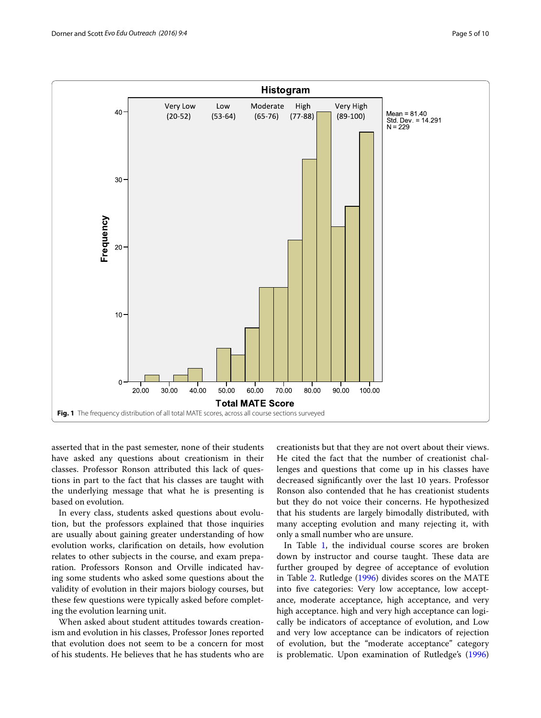

<span id="page-4-0"></span>asserted that in the past semester, none of their students have asked any questions about creationism in their classes. Professor Ronson attributed this lack of questions in part to the fact that his classes are taught with the underlying message that what he is presenting is based on evolution.

In every class, students asked questions about evolution, but the professors explained that those inquiries are usually about gaining greater understanding of how evolution works, clarification on details, how evolution relates to other subjects in the course, and exam preparation. Professors Ronson and Orville indicated having some students who asked some questions about the validity of evolution in their majors biology courses, but these few questions were typically asked before completing the evolution learning unit.

When asked about student attitudes towards creationism and evolution in his classes, Professor Jones reported that evolution does not seem to be a concern for most of his students. He believes that he has students who are creationists but that they are not overt about their views. He cited the fact that the number of creationist challenges and questions that come up in his classes have decreased significantly over the last 10 years. Professor Ronson also contended that he has creationist students but they do not voice their concerns. He hypothesized that his students are largely bimodally distributed, with many accepting evolution and many rejecting it, with only a small number who are unsure.

In Table [1,](#page-5-0) the individual course scores are broken down by instructor and course taught. These data are further grouped by degree of acceptance of evolution in Table [2](#page-5-1). Rutledge [\(1996\)](#page-9-29) divides scores on the MATE into five categories: Very low acceptance, low acceptance, moderate acceptance, high acceptance, and very high acceptance. high and very high acceptance can logically be indicators of acceptance of evolution, and Low and very low acceptance can be indicators of rejection of evolution, but the "moderate acceptance" category is problematic. Upon examination of Rutledge's ([1996](#page-9-29))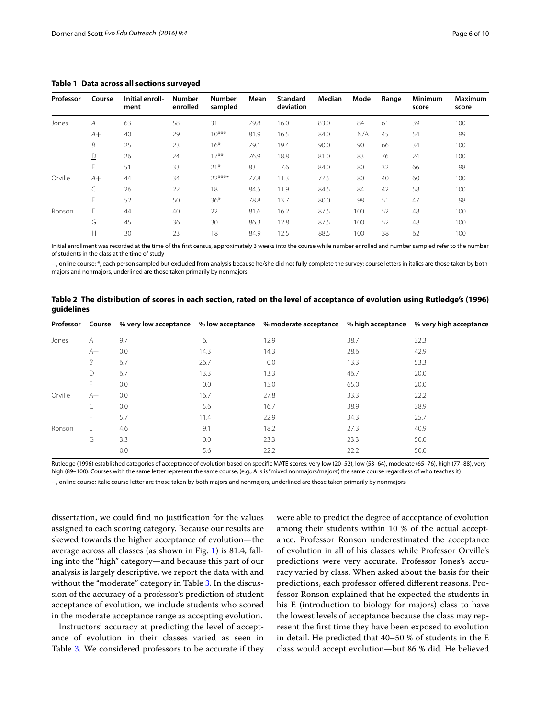| Professor | Course | Initial enroll-<br>ment | <b>Number</b><br>enrolled | <b>Number</b><br>sampled | Mean | <b>Standard</b><br>deviation | Median | Mode | Range | Minimum<br>score | <b>Maximum</b><br>score |
|-----------|--------|-------------------------|---------------------------|--------------------------|------|------------------------------|--------|------|-------|------------------|-------------------------|
| Jones     | A      | 63                      | 58                        | 31                       | 79.8 | 16.0                         | 83.0   | 84   | 61    | 39               | 100                     |
|           | $A+$   | 40                      | 29                        | $10***$                  | 81.9 | 16.5                         | 84.0   | N/A  | 45    | 54               | 99                      |
|           | B      | 25                      | 23                        | $16*$                    | 79.1 | 19.4                         | 90.0   | 90   | 66    | 34               | 100                     |
|           | ⊵      | 26                      | 24                        | $17***$                  | 76.9 | 18.8                         | 81.0   | 83   | 76    | 24               | 100                     |
|           | F      | 51                      | 33                        | $21*$                    | 83   | 7.6                          | 84.0   | 80   | 32    | 66               | 98                      |
| Orville   | $A+$   | 44                      | 34                        | 22****                   | 77.8 | 11.3                         | 77.5   | 80   | 40    | 60               | 100                     |
|           |        | 26                      | 22                        | 18                       | 84.5 | 11.9                         | 84.5   | 84   | 42    | 58               | 100                     |
|           | F      | 52                      | 50                        | $36*$                    | 78.8 | 13.7                         | 80.0   | 98   | 51    | 47               | 98                      |
| Ronson    | E      | 44                      | 40                        | 22                       | 81.6 | 16.2                         | 87.5   | 100  | 52    | 48               | 100                     |
|           | G      | 45                      | 36                        | 30                       | 86.3 | 12.8                         | 87.5   | 100  | 52    | 48               | 100                     |
|           | Н      | 30                      | 23                        | 18                       | 84.9 | 12.5                         | 88.5   | 100  | 38    | 62               | 100                     |

#### <span id="page-5-0"></span>**Table 1 Data across all sections surveyed**

Initial enrollment was recorded at the time of the first census, approximately 3 weeks into the course while number enrolled and number sampled refer to the number of students in the class at the time of study

+, online course; \*, each person sampled but excluded from analysis because he/she did not fully complete the survey; course letters in italics are those taken by both majors and nonmajors, underlined are those taken primarily by nonmajors

<span id="page-5-1"></span>

| Table 2 The distribution of scores in each section, rated on the level of acceptance of evolution using Rutledge's (1996) |  |
|---------------------------------------------------------------------------------------------------------------------------|--|
| guidelines                                                                                                                |  |

|         |              |     |      | Professor Course % very low acceptance % low acceptance % moderate acceptance % high acceptance |      | % very high acceptance |
|---------|--------------|-----|------|-------------------------------------------------------------------------------------------------|------|------------------------|
| Jones   | A            | 9.7 | 6.   | 12.9                                                                                            | 38.7 | 32.3                   |
|         | $A+$         | 0.0 | 14.3 | 14.3                                                                                            | 28.6 | 42.9                   |
|         | B            | 6.7 | 26.7 | 0.0                                                                                             | 13.3 | 53.3                   |
|         | $\mathsf{D}$ | 6.7 | 13.3 | 13.3                                                                                            | 46.7 | 20.0                   |
|         | F.           | 0.0 | 0.0  | 15.0                                                                                            | 65.0 | 20.0                   |
| Orville | A+           | 0.0 | 16.7 | 27.8                                                                                            | 33.3 | 22.2                   |
|         |              | 0.0 | 5.6  | 16.7                                                                                            | 38.9 | 38.9                   |
|         | F            | 5.7 | 11.4 | 22.9                                                                                            | 34.3 | 25.7                   |
| Ronson  | E.           | 4.6 | 9.1  | 18.2                                                                                            | 27.3 | 40.9                   |
|         | G            | 3.3 | 0.0  | 23.3                                                                                            | 23.3 | 50.0                   |
|         | н            | 0.0 | 5.6  | 22.2                                                                                            | 22.2 | 50.0                   |

Rutledge (1996) established categories of acceptance of evolution based on specific MATE scores: very low (20–52), low (53–64), moderate (65–76), high (77–88), very high (89-100). Courses with the same letter represent the same course, (e.g., A is is "mixed nonmajors/majors", the same course regardless of who teaches it) +, online course; italic course letter are those taken by both majors and nonmajors, underlined are those taken primarily by nonmajors

dissertation, we could find no justification for the values assigned to each scoring category. Because our results are skewed towards the higher acceptance of evolution—the average across all classes (as shown in Fig. [1](#page-4-0)) is 81.4, falling into the "high" category—and because this part of our analysis is largely descriptive, we report the data with and without the "moderate" category in Table [3.](#page-6-0) In the discussion of the accuracy of a professor's prediction of student acceptance of evolution, we include students who scored in the moderate acceptance range as accepting evolution.

Instructors' accuracy at predicting the level of acceptance of evolution in their classes varied as seen in Table [3.](#page-6-0) We considered professors to be accurate if they were able to predict the degree of acceptance of evolution among their students within 10 % of the actual acceptance. Professor Ronson underestimated the acceptance of evolution in all of his classes while Professor Orville's predictions were very accurate. Professor Jones's accuracy varied by class. When asked about the basis for their predictions, each professor offered different reasons. Professor Ronson explained that he expected the students in his E (introduction to biology for majors) class to have the lowest levels of acceptance because the class may represent the first time they have been exposed to evolution in detail. He predicted that 40–50 % of students in the E class would accept evolution—but 86 % did. He believed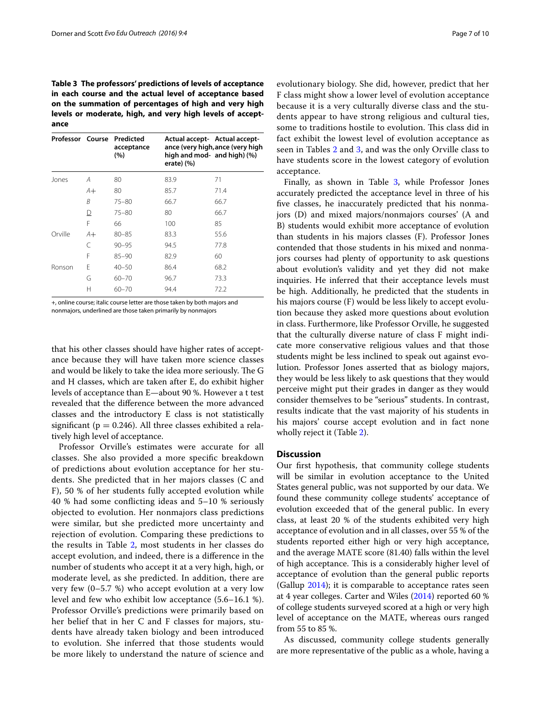<span id="page-6-0"></span>**Table 3 The professors' predictions of levels of acceptance in each course and the actual level of acceptance based on the summation of percentages of high and very high levels or moderate, high, and very high levels of acceptance**

| Professor Course |    | Predicted<br>acceptance<br>(%) | high and mod- and high) (%)<br>erate) (%) | Actual accept- Actual accept-<br>ance (very high, ance (very high |
|------------------|----|--------------------------------|-------------------------------------------|-------------------------------------------------------------------|
| Jones            | А  | 80                             | 83.9                                      | 71                                                                |
|                  | A+ | 80                             | 85.7                                      | 71.4                                                              |
|                  | B  | $75 - 80$                      | 66.7                                      | 66.7                                                              |
|                  | D  | $75 - 80$                      | 80                                        | 66.7                                                              |
|                  | F  | 66                             | 100                                       | 85                                                                |
| Orville          | A+ | $80 - 85$                      | 83.3                                      | 55.6                                                              |
|                  | C  | $90 - 95$                      | 94.5                                      | 77.8                                                              |
|                  | F  | $85 - 90$                      | 82.9                                      | 60                                                                |
| Ronson           | F  | $40 - 50$                      | 86.4                                      | 68.2                                                              |
|                  | G  | $60 - 70$                      | 96.7                                      | 73.3                                                              |
|                  | Н  | $60 - 70$                      | 94.4                                      | 72.2                                                              |
|                  |    |                                |                                           |                                                                   |

+, online course; italic course letter are those taken by both majors and nonmajors, underlined are those taken primarily by nonmajors

that his other classes should have higher rates of acceptance because they will have taken more science classes and would be likely to take the idea more seriously. The G and H classes, which are taken after E, do exhibit higher levels of acceptance than E—about 90 %. However a t test revealed that the difference between the more advanced classes and the introductory E class is not statistically significant ( $p = 0.246$ ). All three classes exhibited a relatively high level of acceptance.

Professor Orville's estimates were accurate for all classes. She also provided a more specific breakdown of predictions about evolution acceptance for her students. She predicted that in her majors classes (C and F), 50 % of her students fully accepted evolution while 40 % had some conflicting ideas and 5–10 % seriously objected to evolution. Her nonmajors class predictions were similar, but she predicted more uncertainty and rejection of evolution. Comparing these predictions to the results in Table [2,](#page-5-1) most students in her classes do accept evolution, and indeed, there is a difference in the number of students who accept it at a very high, high, or moderate level, as she predicted. In addition, there are very few  $(0-5.7 \%)$  who accept evolution at a very low level and few who exhibit low acceptance (5.6–16.1 %). Professor Orville's predictions were primarily based on her belief that in her C and F classes for majors, students have already taken biology and been introduced to evolution. She inferred that those students would be more likely to understand the nature of science and evolutionary biology. She did, however, predict that her F class might show a lower level of evolution acceptance because it is a very culturally diverse class and the students appear to have strong religious and cultural ties, some to traditions hostile to evolution. This class did in fact exhibit the lowest level of evolution acceptance as seen in Tables [2](#page-5-1) and [3](#page-6-0), and was the only Orville class to have students score in the lowest category of evolution acceptance.

Finally, as shown in Table [3](#page-6-0), while Professor Jones accurately predicted the acceptance level in three of his five classes, he inaccurately predicted that his nonmajors (D) and mixed majors/nonmajors courses' (A and B) students would exhibit more acceptance of evolution than students in his majors classes (F). Professor Jones contended that those students in his mixed and nonmajors courses had plenty of opportunity to ask questions about evolution's validity and yet they did not make inquiries. He inferred that their acceptance levels must be high. Additionally, he predicted that the students in his majors course (F) would be less likely to accept evolution because they asked more questions about evolution in class. Furthermore, like Professor Orville, he suggested that the culturally diverse nature of class F might indicate more conservative religious values and that those students might be less inclined to speak out against evolution. Professor Jones asserted that as biology majors, they would be less likely to ask questions that they would perceive might put their grades in danger as they would consider themselves to be "serious" students. In contrast, results indicate that the vast majority of his students in his majors' course accept evolution and in fact none wholly reject it (Table [2](#page-5-1)).

### **Discussion**

Our first hypothesis, that community college students will be similar in evolution acceptance to the United States general public, was not supported by our data. We found these community college students' acceptance of evolution exceeded that of the general public. In every class, at least 20 % of the students exhibited very high acceptance of evolution and in all classes, over 55 % of the students reported either high or very high acceptance, and the average MATE score (81.40) falls within the level of high acceptance. This is a considerably higher level of acceptance of evolution than the general public reports (Gallup [2014](#page-9-6)); it is comparable to acceptance rates seen at 4 year colleges. Carter and Wiles [\(2014](#page-8-6)) reported 60 % of college students surveyed scored at a high or very high level of acceptance on the MATE, whereas ours ranged from 55 to 85 %.

As discussed, community college students generally are more representative of the public as a whole, having a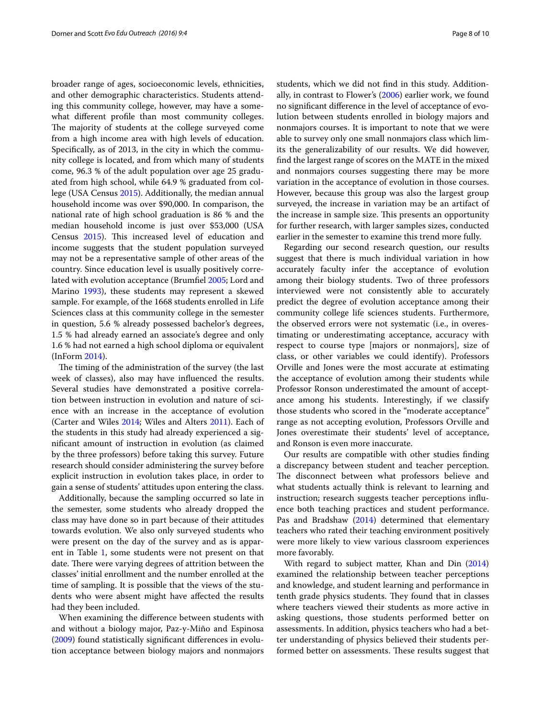broader range of ages, socioeconomic levels, ethnicities, and other demographic characteristics. Students attending this community college, however, may have a somewhat different profile than most community colleges. The majority of students at the college surveyed come from a high income area with high levels of education. Specifically, as of 2013, in the city in which the community college is located, and from which many of students come, 96.3 % of the adult population over age 25 graduated from high school, while 64.9 % graduated from college (USA Census [2015\)](#page-9-30). Additionally, the median annual household income was over \$90,000. In comparison, the national rate of high school graduation is 86 % and the median household income is just over \$53,000 (USA Census [2015\)](#page-9-30). This increased level of education and income suggests that the student population surveyed may not be a representative sample of other areas of the country. Since education level is usually positively correlated with evolution acceptance (Brumfiel [2005;](#page-8-4) Lord and Marino [1993\)](#page-9-11), these students may represent a skewed sample. For example, of the 1668 students enrolled in Life Sciences class at this community college in the semester in question, 5.6 % already possessed bachelor's degrees, 1.5 % had already earned an associate's degree and only 1.6 % had not earned a high school diploma or equivalent (InForm [2014\)](#page-9-31).

The timing of the administration of the survey (the last week of classes), also may have influenced the results. Several studies have demonstrated a positive correlation between instruction in evolution and nature of science with an increase in the acceptance of evolution (Carter and Wiles [2014;](#page-8-6) Wiles and Alters [2011\)](#page-9-8). Each of the students in this study had already experienced a significant amount of instruction in evolution (as claimed by the three professors) before taking this survey. Future research should consider administering the survey before explicit instruction in evolution takes place, in order to gain a sense of students' attitudes upon entering the class.

Additionally, because the sampling occurred so late in the semester, some students who already dropped the class may have done so in part because of their attitudes towards evolution. We also only surveyed students who were present on the day of the survey and as is appar-ent in Table [1,](#page-5-0) some students were not present on that date. There were varying degrees of attrition between the classes' initial enrollment and the number enrolled at the time of sampling. It is possible that the views of the students who were absent might have affected the results had they been included.

When examining the difference between students with and without a biology major, Paz-y-Miño and Espinosa ([2009\)](#page-9-32) found statistically significant differences in evolution acceptance between biology majors and nonmajors students, which we did not find in this study. Additionally, in contrast to Flower's [\(2006\)](#page-8-10) earlier work, we found no significant difference in the level of acceptance of evolution between students enrolled in biology majors and nonmajors courses. It is important to note that we were able to survey only one small nonmajors class which limits the generalizability of our results. We did however, find the largest range of scores on the MATE in the mixed and nonmajors courses suggesting there may be more variation in the acceptance of evolution in those courses. However, because this group was also the largest group surveyed, the increase in variation may be an artifact of the increase in sample size. This presents an opportunity for further research, with larger samples sizes, conducted earlier in the semester to examine this trend more fully.

Regarding our second research question, our results suggest that there is much individual variation in how accurately faculty infer the acceptance of evolution among their biology students. Two of three professors interviewed were not consistently able to accurately predict the degree of evolution acceptance among their community college life sciences students. Furthermore, the observed errors were not systematic (i.e., in overestimating or underestimating acceptance, accuracy with respect to course type [majors or nonmajors], size of class, or other variables we could identify). Professors Orville and Jones were the most accurate at estimating the acceptance of evolution among their students while Professor Ronson underestimated the amount of acceptance among his students. Interestingly, if we classify those students who scored in the "moderate acceptance" range as not accepting evolution, Professors Orville and Jones overestimate their students' level of acceptance, and Ronson is even more inaccurate.

Our results are compatible with other studies finding a discrepancy between student and teacher perception. The disconnect between what professors believe and what students actually think is relevant to learning and instruction; research suggests teacher perceptions influence both teaching practices and student performance. Pas and Bradshaw ([2014](#page-9-33)) determined that elementary teachers who rated their teaching environment positively were more likely to view various classroom experiences more favorably.

With regard to subject matter, Khan and Din ([2014](#page-9-34)) examined the relationship between teacher perceptions and knowledge, and student learning and performance in tenth grade physics students. They found that in classes where teachers viewed their students as more active in asking questions, those students performed better on assessments. In addition, physics teachers who had a better understanding of physics believed their students performed better on assessments. These results suggest that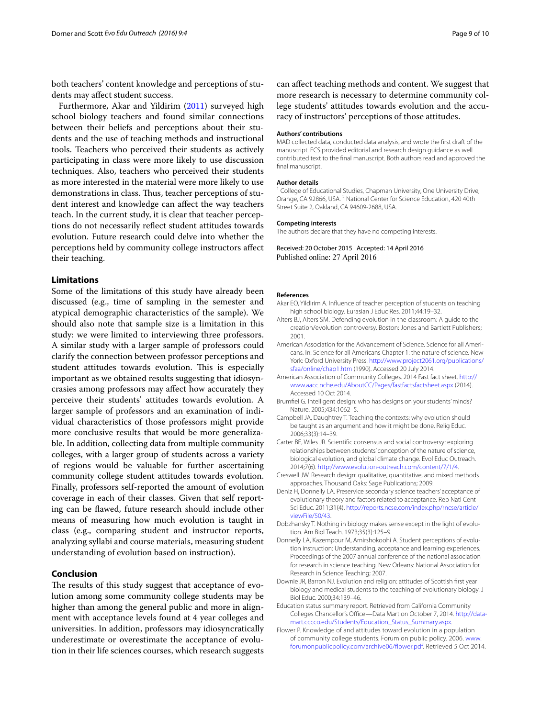both teachers' content knowledge and perceptions of students may affect student success.

Furthermore, Akar and Yildirim ([2011](#page-8-13)) surveyed high school biology teachers and found similar connections between their beliefs and perceptions about their students and the use of teaching methods and instructional tools. Teachers who perceived their students as actively participating in class were more likely to use discussion techniques. Also, teachers who perceived their students as more interested in the material were more likely to use demonstrations in class. Thus, teacher perceptions of student interest and knowledge can affect the way teachers teach. In the current study, it is clear that teacher perceptions do not necessarily reflect student attitudes towards evolution. Future research could delve into whether the perceptions held by community college instructors affect their teaching.

## **Limitations**

Some of the limitations of this study have already been discussed (e.g., time of sampling in the semester and atypical demographic characteristics of the sample). We should also note that sample size is a limitation in this study: we were limited to interviewing three professors. A similar study with a larger sample of professors could clarify the connection between professor perceptions and student attitudes towards evolution. This is especially important as we obtained results suggesting that idiosyncrasies among professors may affect how accurately they perceive their students' attitudes towards evolution. A larger sample of professors and an examination of individual characteristics of those professors might provide more conclusive results that would be more generalizable. In addition, collecting data from multiple community colleges, with a larger group of students across a variety of regions would be valuable for further ascertaining community college student attitudes towards evolution. Finally, professors self-reported the amount of evolution coverage in each of their classes. Given that self reporting can be flawed, future research should include other means of measuring how much evolution is taught in class (e.g., comparing student and instructor reports, analyzing syllabi and course materials, measuring student understanding of evolution based on instruction).

## **Conclusion**

The results of this study suggest that acceptance of evolution among some community college students may be higher than among the general public and more in alignment with acceptance levels found at 4 year colleges and universities. In addition, professors may idiosyncratically underestimate or overestimate the acceptance of evolution in their life sciences courses, which research suggests

can affect teaching methods and content. We suggest that more research is necessary to determine community college students' attitudes towards evolution and the accuracy of instructors' perceptions of those attitudes.

#### **Authors' contributions**

MAD collected data, conducted data analysis, and wrote the first draft of the manuscript. ECS provided editorial and research design guidance as well contributed text to the final manuscript. Both authors read and approved the final manuscript.

#### **Author details**

College of Educational Studies, Chapman University, One University Drive, Orange, CA 92866, USA. <sup>2</sup> National Center for Science Education, 420 40th Street Suite 2, Oakland, CA 94609-2688, USA.

#### **Competing interests**

The authors declare that they have no competing interests.

Received: 20 October 2015 Accepted: 14 April 2016 Published online: 27 April 2016

#### **References**

- <span id="page-8-13"></span>Akar EO, Yildirim A. Influence of teacher perception of students on teaching high school biology. Eurasian J Educ Res. 2011;44:19–32.
- <span id="page-8-2"></span>Alters BJ, Alters SM. Defending evolution in the classroom: A guide to the creation/evolution controversy. Boston: Jones and Bartlett Publishers; 2001.
- <span id="page-8-1"></span>American Association for the Advancement of Science. Science for all Americans. In: Science for all Americans Chapter 1: the nature of science. New York: Oxford University Press. [http://www.project2061.org/publications/](http://www.project2061.org/publications/sfaa/online/chap1.htm) [sfaa/online/chap1.htm](http://www.project2061.org/publications/sfaa/online/chap1.htm) (1990). Accessed 20 July 2014.
- <span id="page-8-8"></span>American Association of Community Colleges. 2014 Fast fact sheet. [http://](http://www.aacc.nche.edu/AboutCC/Pages/fastfactsfactsheet.aspx) [www.aacc.nche.edu/AboutCC/Pages/fastfactsfactsheet.aspx](http://www.aacc.nche.edu/AboutCC/Pages/fastfactsfactsheet.aspx) (2014). Accessed 10 Oct 2014.
- <span id="page-8-4"></span>Brumfiel G. Intelligent design: who has designs on your students' minds? Nature. 2005;434:1062–5.
- <span id="page-8-3"></span>Campbell JA, Daughtrey T. Teaching the contexts: why evolution should be taught as an argument and how it might be done. Relig Educ. 2006;33(3):14–39.
- <span id="page-8-6"></span>Carter BE, Wiles JR. Scientific consensus and social controversy: exploring relationships between students' conception of the nature of science, biological evolution, and global climate change. Evol Educ Outreach. 2014;7(6). <http://www.evolution-outreach.com/content/7/1/4>.
- <span id="page-8-11"></span>Creswell JW. Research design: qualitative, quantitative, and mixed methods approaches. Thousand Oaks: Sage Publications; 2009.
- <span id="page-8-7"></span>Deniz H, Donnelly LA. Preservice secondary science teachers' acceptance of evolutionary theory and factors related to acceptance. Rep Natl Cent Sci Educ. 2011;31(4). [http://reports.ncse.com/index.php/rncse/article/](http://reports.ncse.com/index.php/rncse/article/viewFile/50/43) [viewFile/50/43.](http://reports.ncse.com/index.php/rncse/article/viewFile/50/43)
- <span id="page-8-0"></span>Dobzhansky T. Nothing in biology makes sense except in the light of evolution. Am Biol Teach. 1973;35(3):125–9.
- <span id="page-8-12"></span>Donnelly LA, Kazempour M, Amirshokoohi A. Student perceptions of evolution instruction: Understanding, acceptance and learning experiences. Proceedings of the 2007 annual conference of the national association for research in science teaching. New Orleans: National Association for Research in Science Teaching; 2007.
- <span id="page-8-5"></span>Downie JR, Barron NJ. Evolution and religion: attitudes of Scottish first year biology and medical students to the teaching of evolutionary biology. J Biol Educ. 2000;34:139–46.
- <span id="page-8-9"></span>Education status summary report. Retrieved from California Community Colleges Chancellor's Office—Data Mart on October 7, 2014. http://data[mart.cccco.edu/Students/Education\\_Status\\_Summary.aspx.](http://datamart.cccco.edu/Students/Education_Status_Summary.aspx)
- <span id="page-8-10"></span>Flower P. Knowledge of and attitudes toward evolution in a population of community college students. Forum on public policy. 2006. [www.](http://www.forumonpublicpolicy.com/archive06/flower.pdf) [forumonpublicpolicy.com/archive06/flower.pdf.](http://www.forumonpublicpolicy.com/archive06/flower.pdf) Retrieved 5 Oct 2014.